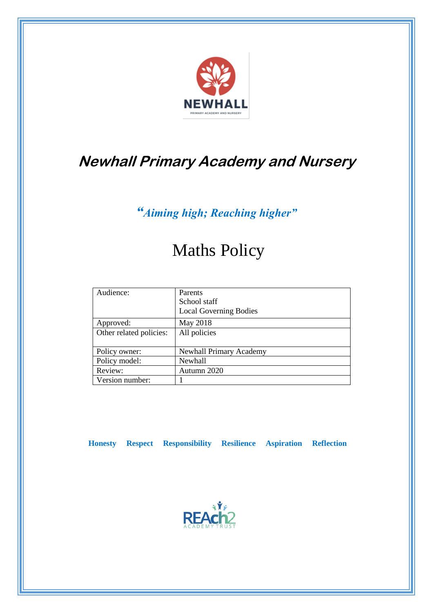

# **Newhall Primary Academy and Nursery**

*"Aiming high; Reaching higher"*

# Maths Policy

| Audience:               | Parents                       |
|-------------------------|-------------------------------|
|                         | School staff                  |
|                         | <b>Local Governing Bodies</b> |
| Approved:               | May 2018                      |
| Other related policies: | All policies                  |
|                         |                               |
| Policy owner:           | Newhall Primary Academy       |
| Policy model:           | <b>Newhall</b>                |
| Review:                 | Autumn 2020                   |
| Version number:         |                               |

 **Honesty Respect Responsibility Resilience Aspiration Reflection**

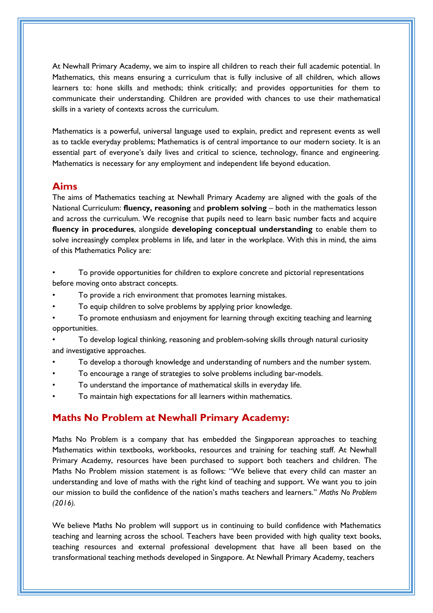At Newhall Primary Academy, we aim to inspire all children to reach their full academic potential. In Mathematics, this means ensuring a curriculum that is fully inclusive of all children, which allows learners to: hone skills and methods; think critically; and provides opportunities for them to communicate their understanding. Children are provided with chances to use their mathematical skills in a variety of contexts across the curriculum.

Mathematics is a powerful, universal language used to explain, predict and represent events as well as to tackle everyday problems; Mathematics is of central importance to our modern society. It is an essential part of everyone's daily lives and critical to science, technology, finance and engineering. Mathematics is necessary for any employment and independent life beyond education.

#### **Aims**

The aims of Mathematics teaching at Newhall Primary Academy are aligned with the goals of the National Curriculum: **fluency, reasoning** and **problem solving** – both in the mathematics lesson and across the curriculum. We recognise that pupils need to learn basic number facts and acquire **fluency in procedures**, alongside **developing conceptual understanding** to enable them to solve increasingly complex problems in life, and later in the workplace. With this in mind, the aims of this Mathematics Policy are:

- To provide opportunities for children to explore concrete and pictorial representations before moving onto abstract concepts.
- To provide a rich environment that promotes learning mistakes.
- To equip children to solve problems by applying prior knowledge.
- To promote enthusiasm and enjoyment for learning through exciting teaching and learning opportunities.

• To develop logical thinking, reasoning and problem-solving skills through natural curiosity and investigative approaches.

- To develop a thorough knowledge and understanding of numbers and the number system.
- To encourage a range of strategies to solve problems including bar-models.
- To understand the importance of mathematical skills in everyday life.
- To maintain high expectations for all learners within mathematics.

## **Maths No Problem at Newhall Primary Academy:**

Maths No Problem is a company that has embedded the Singaporean approaches to teaching Mathematics within textbooks, workbooks, resources and training for teaching staff. At Newhall Primary Academy, resources have been purchased to support both teachers and children. The Maths No Problem mission statement is as follows: "We believe that every child can master an understanding and love of maths with the right kind of teaching and support. We want you to join our mission to build the confidence of the nation's maths teachers and learners." *Maths No Problem (2016).*

We believe Maths No problem will support us in continuing to build confidence with Mathematics teaching and learning across the school. Teachers have been provided with high quality text books, teaching resources and external professional development that have all been based on the transformational teaching methods developed in Singapore. At Newhall Primary Academy, teachers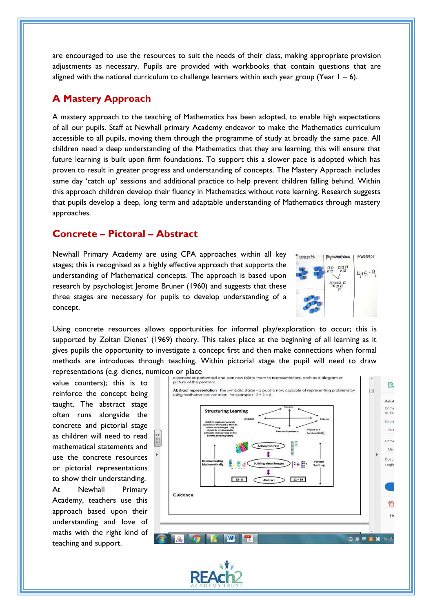are encouraged to use the resources to suit the needs of their class, making appropriate provision adjustments as necessary. Pupils are provided with workbooks that contain questions that are aligned with the national curriculum to challenge learners within each year group (Year  $1 - 6$ ).

# **A Mastery Approach**

A mastery approach to the teaching of Mathematics has been adopted, to enable high expectations of all our pupils. Staff at Newhall primary Academy endeavor to make the Mathematics curriculum accessible to all pupils, moving them through the programme of study at broadly the same pace. All children need a deep understanding of the Mathematics that they are learning; this will ensure that future learning is built upon firm foundations. To support this a slower pace is adopted which has proven to result in greater progress and understanding of concepts. The Mastery Approach includes same day 'catch up' sessions and additional practice to help prevent children falling behind. Within this approach children develop their fluency in Mathematics without rote learning. Research suggests that pupils develop a deep, long term and adaptable understanding of Mathematics through mastery approaches.

## **Concrete – Pictoral – Abstract**

Newhall Primary Academy are using CPA approaches within all key stages; this is recognised as a highly effective approach that supports the understanding of Mathematical concepts. The approach is based upon research by psychologist Jerome Bruner (1960) and suggests that these three stages are necessary for pupils to develop understanding of a concept.



Using concrete resources allows opportunities for informal play/exploration to occur; this is supported by Zoltan Dienes' (1969) theory. This takes place at the beginning of all learning as it gives pupils the opportunity to investigate a concept first and then make connections when formal methods are introduces through teaching. Within pictorial stage the pupil will need to draw representations (e.g. dienes, numicon or place<br>
Experiences performed and can now relate them to representations, such as a diagram or

value counters); this is to reinforce the concept being taught. The abstract stage often runs alongside the concrete and pictorial stage as children will need to read mathematical statements and use the concrete resources or pictorial representations to show their understanding. At Newhall Primary Academy, teachers use this approach based upon their understanding and love of maths with the right kind of teaching and support.



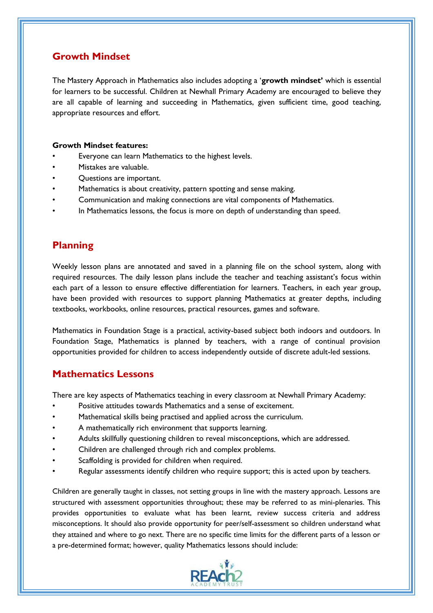# **Growth Mindset**

The Mastery Approach in Mathematics also includes adopting a '**growth mindset'** which is essential for learners to be successful. Children at Newhall Primary Academy are encouraged to believe they are all capable of learning and succeeding in Mathematics, given sufficient time, good teaching, appropriate resources and effort.

#### **Growth Mindset features:**

- Everyone can learn Mathematics to the highest levels.
- Mistakes are valuable.
- Questions are important.
- Mathematics is about creativity, pattern spotting and sense making.
- Communication and making connections are vital components of Mathematics.
- In Mathematics lessons, the focus is more on depth of understanding than speed.

# **Planning**

Weekly lesson plans are annotated and saved in a planning file on the school system, along with required resources. The daily lesson plans include the teacher and teaching assistant's focus within each part of a lesson to ensure effective differentiation for learners. Teachers, in each year group, have been provided with resources to support planning Mathematics at greater depths, including textbooks, workbooks, online resources, practical resources, games and software.

Mathematics in Foundation Stage is a practical, activity-based subject both indoors and outdoors. In Foundation Stage, Mathematics is planned by teachers, with a range of continual provision opportunities provided for children to access independently outside of discrete adult-led sessions.

### **Mathematics Lessons**

There are key aspects of Mathematics teaching in every classroom at Newhall Primary Academy:

- Positive attitudes towards Mathematics and a sense of excitement.
- Mathematical skills being practised and applied across the curriculum.
- A mathematically rich environment that supports learning.
- Adults skillfully questioning children to reveal misconceptions, which are addressed.
- Children are challenged through rich and complex problems.
- Scaffolding is provided for children when required.
- Regular assessments identify children who require support; this is acted upon by teachers.

Children are generally taught in classes, not setting groups in line with the mastery approach. Lessons are structured with assessment opportunities throughout; these may be referred to as mini-plenaries. This provides opportunities to evaluate what has been learnt, review success criteria and address misconceptions. It should also provide opportunity for peer/self-assessment so children understand what they attained and where to go next. There are no specific time limits for the different parts of a lesson or a pre-determined format; however, quality Mathematics lessons should include:

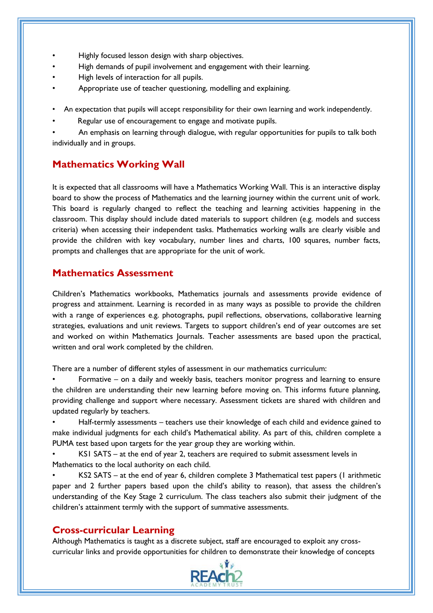- Highly focused lesson design with sharp objectives.
- High demands of pupil involvement and engagement with their learning.
- High levels of interaction for all pupils.
- Appropriate use of teacher questioning, modelling and explaining.

• An expectation that pupils will accept responsibility for their own learning and work independently.

Regular use of encouragement to engage and motivate pupils.

• An emphasis on learning through dialogue, with regular opportunities for pupils to talk both individually and in groups.

# **Mathematics Working Wall**

It is expected that all classrooms will have a Mathematics Working Wall. This is an interactive display board to show the process of Mathematics and the learning journey within the current unit of work. This board is regularly changed to reflect the teaching and learning activities happening in the classroom. This display should include dated materials to support children (e.g. models and success criteria) when accessing their independent tasks. Mathematics working walls are clearly visible and provide the children with key vocabulary, number lines and charts, 100 squares, number facts, prompts and challenges that are appropriate for the unit of work.

## **Mathematics Assessment**

Children's Mathematics workbooks, Mathematics journals and assessments provide evidence of progress and attainment. Learning is recorded in as many ways as possible to provide the children with a range of experiences e.g. photographs, pupil reflections, observations, collaborative learning strategies, evaluations and unit reviews. Targets to support children's end of year outcomes are set and worked on within Mathematics Journals. Teacher assessments are based upon the practical, written and oral work completed by the children.

There are a number of different styles of assessment in our mathematics curriculum:

• Formative – on a daily and weekly basis, teachers monitor progress and learning to ensure the children are understanding their new learning before moving on. This informs future planning, providing challenge and support where necessary. Assessment tickets are shared with children and updated regularly by teachers.

• Half-termly assessments – teachers use their knowledge of each child and evidence gained to make individual judgments for each child's Mathematical ability. As part of this, children complete a PUMA test based upon targets for the year group they are working within.

• KS1 SATS – at the end of year 2, teachers are required to submit assessment levels in Mathematics to the local authority on each child.

• KS2 SATS – at the end of year 6, children complete 3 Mathematical test papers (1 arithmetic paper and 2 further papers based upon the child's ability to reason), that assess the children's understanding of the Key Stage 2 curriculum. The class teachers also submit their judgment of the children's attainment termly with the support of summative assessments.

### **Cross-curricular Learning**

Although Mathematics is taught as a discrete subject, staff are encouraged to exploit any crosscurricular links and provide opportunities for children to demonstrate their knowledge of concepts

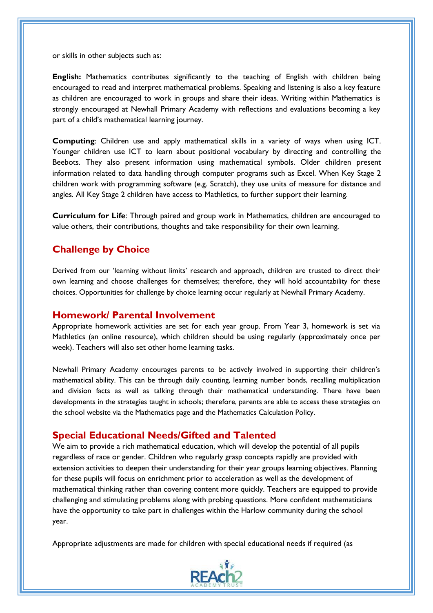or skills in other subjects such as:

**English:** Mathematics contributes significantly to the teaching of English with children being encouraged to read and interpret mathematical problems. Speaking and listening is also a key feature as children are encouraged to work in groups and share their ideas. Writing within Mathematics is strongly encouraged at Newhall Primary Academy with reflections and evaluations becoming a key part of a child's mathematical learning journey.

**Computing**: Children use and apply mathematical skills in a variety of ways when using ICT. Younger children use ICT to learn about positional vocabulary by directing and controlling the Beebots. They also present information using mathematical symbols. Older children present information related to data handling through computer programs such as Excel. When Key Stage 2 children work with programming software (e.g. Scratch), they use units of measure for distance and angles. All Key Stage 2 children have access to Mathletics, to further support their learning.

**Curriculum for Life**: Through paired and group work in Mathematics, children are encouraged to value others, their contributions, thoughts and take responsibility for their own learning.

#### **Challenge by Choice**

Derived from our 'learning without limits' research and approach, children are trusted to direct their own learning and choose challenges for themselves; therefore, they will hold accountability for these choices. Opportunities for challenge by choice learning occur regularly at Newhall Primary Academy.

#### **Homework/ Parental Involvement**

Appropriate homework activities are set for each year group. From Year 3, homework is set via Mathletics (an online resource), which children should be using regularly (approximately once per week). Teachers will also set other home learning tasks.

Newhall Primary Academy encourages parents to be actively involved in supporting their children's mathematical ability. This can be through daily counting, learning number bonds, recalling multiplication and division facts as well as talking through their mathematical understanding. There have been developments in the strategies taught in schools; therefore, parents are able to access these strategies on the school website via the Mathematics page and the Mathematics Calculation Policy.

#### **Special Educational Needs/Gifted and Talented**

We aim to provide a rich mathematical education, which will develop the potential of all pupils regardless of race or gender. Children who regularly grasp concepts rapidly are provided with extension activities to deepen their understanding for their year groups learning objectives. Planning for these pupils will focus on enrichment prior to acceleration as well as the development of mathematical thinking rather than covering content more quickly. Teachers are equipped to provide challenging and stimulating problems along with probing questions. More confident mathematicians have the opportunity to take part in challenges within the Harlow community during the school year.

Appropriate adjustments are made for children with special educational needs if required (as